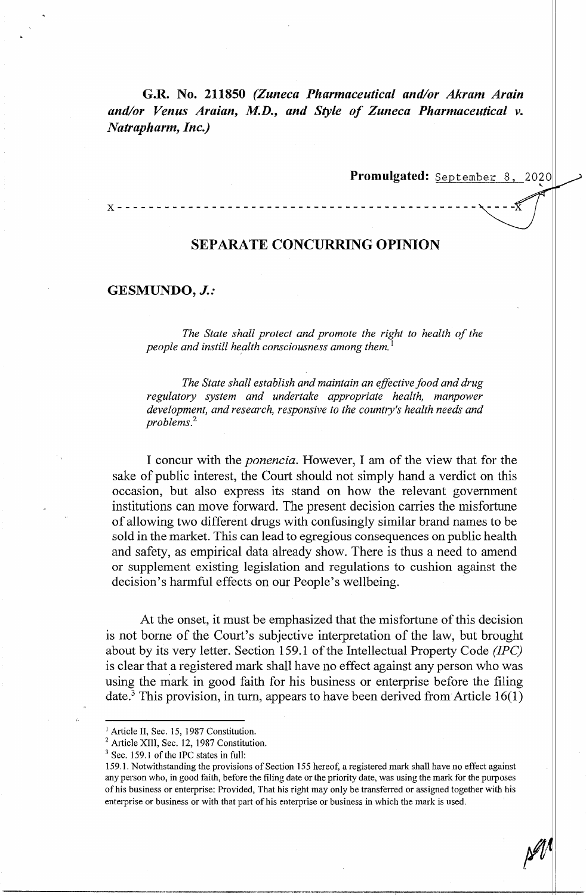**G.R. No. 211850** *(Zuneca Pharmaceutical and/or Akram Arain and/or Venus Araian, M.D., and Style of Zuneca Pharmaceutical v. Natrapharm, Inc.)* 

Promulgated: September 8, 2020

### **X** - - - - - - - - - - - - - - - - - - - - - - - - - - - - - - - - - - - - - - - - - - - - - - - - - -

# **SEPARATE CONCURRING OPINION**

# **GESMUNDO,** *J.:*

*The State shall protect and promote the right to health of the people and instill health consciousness among them.* <sup>1</sup>

*The State shall establish and maintain an effective food and drug regulatory system and undertake appropriate health, manpower development, and research, responsive to the country's health needs and problems.*<sup>2</sup>

I concur with the *ponencia.* However, I am of the view that for the sake of public interest, the Court should not simply hand a verdict on this occasion, but also express its stand on how the relevant government institutions can move forward. The present decision carries the misfortune of allowing two different drugs with confusingly similar brand names to be sold in the market. This can lead to egregious consequences on public health and safety, as empirical data already show. There is thus a need to amend or supplement existing legislation and regulations to cushion against the decision's harmful effects on our People's wellbeing.

At the onset, it must be emphasized that the misfortune of this decision is not borne of the Court's subjective interpretation of the law, but brought about by its very letter. Section 159.1 of the Intellectual Property Code *(JPC)*  is clear that a registered mark shall have no effect against any person who was using the mark in good faith for his business or enterprise before the filing date.<sup>3</sup> This provision, in turn, appears to have been derived from Article  $16(1)$ 

 $\mathscr{W}\Vert$ 

<sup>&</sup>lt;sup>1</sup> Article II, Sec. 15, 1987 Constitution.

<sup>&</sup>lt;sup>2</sup> Article XIII, Sec. 12, 1987 Constitution.

 $3$  Sec. 159.1 of the IPC states in full:

<sup>159.1.</sup> Notwithstanding the provisions of Section 155 hereof, a registered mark shall have no effect against any person who, in good faith, before the filing date or the priority date, was using the mark for the purposes of his business or enterprise: Provided, That his right may only be transferred or assigned together with his enterprise or business or with that part of his enterprise or business in which the mark is used.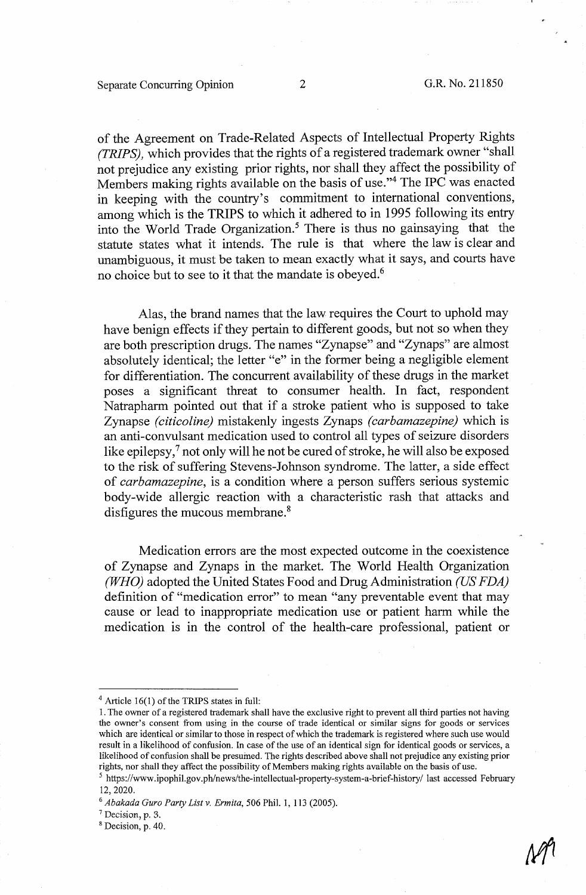# Separate Concurring Opinion 2 G.R. No. 211850

of the Agreement on Trade-Related Aspects of Intellectual Property Rights *(TRIPS),* which provides that the rights of a registered trademark owner "shall not prejudice any existing prior rights, nor shall they affect the possibility of Members making rights available on the basis of use."<sup>4</sup> The IPC was enacted in keeping with the country's commitment to international conventions, among which is the TRIPS to which it adhered to in 1995 following its entry into the World Trade Organization.<sup>5</sup> There is thus no gainsaying that the statute states what it intends. The rule is that where the law is clear and unambiguous, it must be taken to mean exactly what it says, and courts have no choice but to see to it that the mandate is obeyed.<sup>6</sup>

Alas, the brand names that the law requires the Court to uphold may have benign effects if they pertain to different goods, but not so when they are both prescription drugs. The names "Zynapse" and "Zynaps" are almost absolutely identical; the letter "e" in the former being a negligible element for differentiation. The concurrent availability of these drugs in the market poses a significant threat to consumer health. In fact, respondent Natrapharm pointed out that if a stroke patient who is supposed to take Zynapse *(citicoline)* mistakenly ingests Zynaps *(carbamazepine)* which is an anti-convulsant medication used to control all types of seizure disorders like epilepsy,<sup>7</sup> not only will he not be cured of stroke, he will also be exposed to the risk of suffering Stevens-Johnson syndrome. The latter, a side effect of *carbamazepine,* is a condition where a person suffers serious systemic body-wide allergic reaction with a characteristic rash that attacks and disfigures the mucous membrane.<sup>8</sup>

Medication errors are the most expected outcome in the coexistence of Zynapse and Zynaps in the market. The World Health Organization *(WHO)* adopted the United States Food and Drug Administration *(US FDA)*  definition of "medication error" to mean "any preventable event that may cause or lead to inappropriate medication use or patient harm while the medication is in the control of the health-care professional, patient or

 $4$  Article 16(1) of the TRIPS states in full:

<sup>1.</sup> The owner of a registered trademark shall have the exclusive right to prevent all third parties not having the owner's consent from using in the course of trade identical or similar signs for goods or services which are identical or similar to those in respect of which the trademark is registered where such use would result in a likelihood of confusion. In case of the use of an identical sign for identical goods or services, a likelihood of confusion shall be presumed. The rights described above shall not prejudice any existing prior rights, nor shall they affect the possibility of Members making rights available on the basis of use.

<sup>&</sup>lt;sup>5</sup> https://www.ipophil.gov.ph/news/the-intellectual-property-system-a-brief-history/ last accessed February 12, 2020.

<sup>6</sup>*Abakada Gura Party List v. Ermita,* 506 Phil. I, 113 (2005). 7 Decision, p. 3.

<sup>&</sup>lt;sup>8</sup> Decision, p. 40.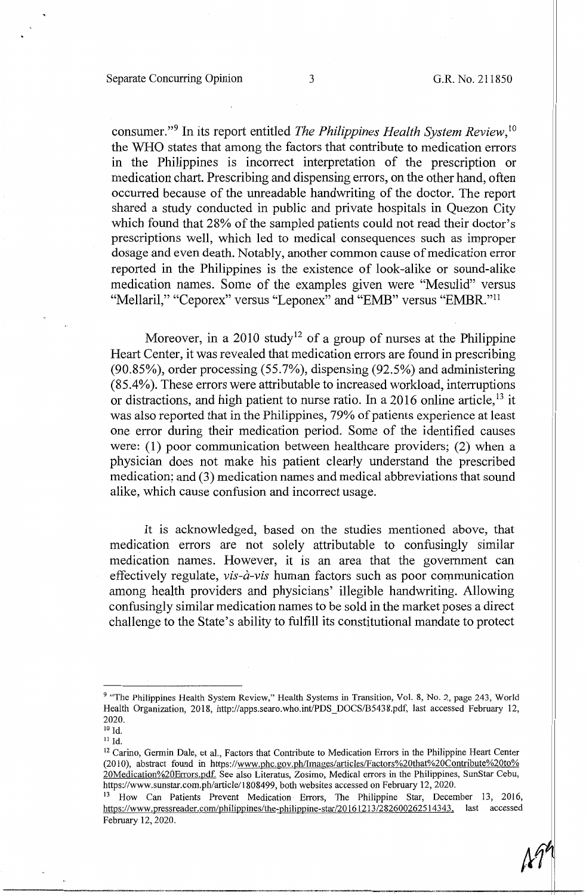consumer."9 In its report entitled *The Philippines Health System Review,* <sup>10</sup> the WHO states that among the factors that contribute to medication errors in the Philippines is incorrect interpretation of the prescription or medication chart. Prescribing and dispensing errors, on the other hand, often occurred because of the unreadable handwriting of the doctor. The report shared a study conducted in public and private hospitals in Quezon City which found that 28% of the sampled patients could not read their doctor's prescriptions well, which led to medical consequences such as improper dosage and even death. Notably, another common cause of medication error reported in the Philippines is the existence of look-alike or sound-alike medication names. Some of the examples given were "Mesulid" versus "Mellaril," "Ceporex" versus "Leponex" and "EMB" versus "EMBR."<sup>11</sup>

Moreover, in a 2010 study<sup>12</sup> of a group of nurses at the Philippine Heart Center, it was revealed that medication errors are found in prescribing (90.85%), order processing (55.7%), dispensing (92.5%) and administering (85.4%). These errors were attributable to increased workload, interruptions or distractions, and high patient to nurse ratio. In a 2016 online article,<sup>13</sup> it was also reported that in the Philippines, 79% of patients experience at least one error during their medication period. Some of the identified causes were:  $(1)$  poor communication between healthcare providers;  $(2)$  when a physician does not make his patient clearly understand the prescribed medication; and (3) medication names and medical abbreviations that sound alike, which cause confusion and incorrect usage.

It is acknowledged, based on the studies mentioned above, that medication errors are not solely attributable to confusingly similar medication names. However, it is an area that the government can effectively regulate, *vis-à-vis* human factors such as poor communication among health providers and physicians' illegible handwriting. Allowing confusingly similar medication names to be sold in the market poses a direct challenge to the State's ability to fulfill its constitutional mandate to protect

<sup>&</sup>lt;sup>9</sup> "The Philippines Health System Review," Health Systems in Transition, Vol. 8, No. 2, page 243, World Health Organization, 2018, http://apps.searo.who.int/PDS\_DOCS/B5438.pdf, last accessed February 12, 2020.

 $^{10}$  Id.  $\,$ 

II Id.

<sup>&</sup>lt;sup>12</sup> Carino, Germin Dale, et al., Factors that Contribute to Medication Errors in the Philippine Heart Center (2010), abstract found in https://www.phc.gov.ph/Images/articles/Factors%20that%20Contribute%20to% 20Medication%20Errors.pdf. See also Literatus, Zosimo, Medical errors in the Philippines, SunStar Cebu, https://www.sunstar.com.ph/article/1808499, both websites accessed on February 12, 2020.

<sup>&</sup>lt;sup>13</sup> How Can Patients Prevent Medication Errors, The Philippine Star, December 13, 2016, https://www.pressreader.com/philippines/the-philippine-star/20161213/282600262514343, last accessed February 12, 2020.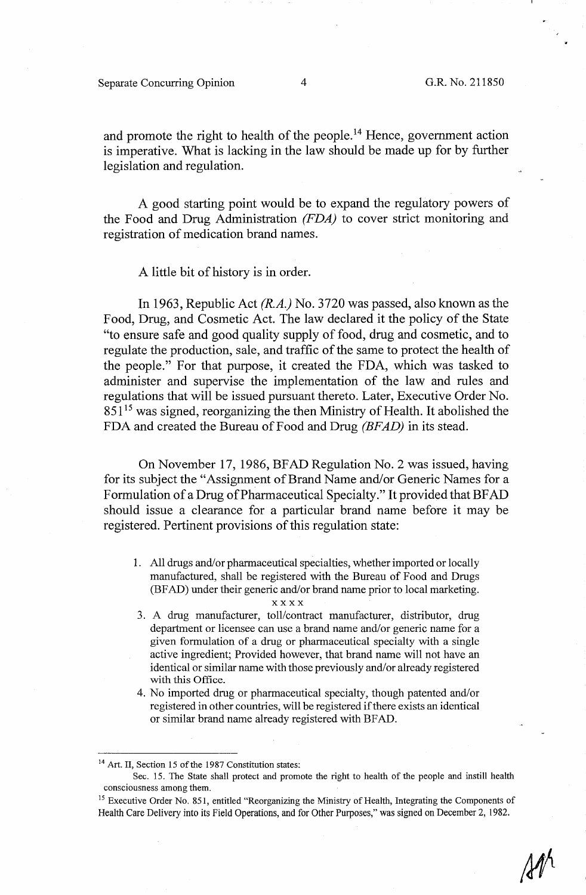### Separate Concurring Opinion 4 G.R. No. 211850

and promote the right to health of the people.<sup>14</sup> Hence, government action is imperative. What is lacking in the law should be made up for by further legislation and regulation.

A good starting point would be to expand the regulatory powers of the Food and Drug Administration *(FDA)* to cover strict monitoring and registration of medication brand names.

A little bit of history is in order.

In 1963, Republic Act *(R.A.)* No. 3720 was passed, also known as the Food, Drug, and Cosmetic Act. The law declared it the policy of the State "to ensure safe and good quality supply of food, drug and cosmetic, and to regulate the production, sale, and traffic of the same to protect the health of the people." For that purpose, it created the FDA, which was tasked to administer and supervise the implementation of the law and rules and regulations that will be issued pursuant thereto. Later, Executive Order No.  $851<sup>15</sup>$  was signed, reorganizing the then Ministry of Health. It abolished the FDA and created the Bureau of Food and Drug *(BFAD)* in its stead.

On November 17, 1986, BFAD Regulation No. 2 was issued, having for its subject the "Assignment of Brand Name and/or Generic Names for a Formulation of a Drug of Pharmaceutical Specialty." It provided that BF AD should issue a clearance for a particular brand name before it may be registered. Pertinent provisions of this regulation state:

1. All drugs and/or pharmaceutical specialties, whether imported or locally manufactured, shall be registered with the Bureau of Food and Drugs (BF AD) under their generic and/or brand name prior to local marketing.

#### **xxxx**

- 3. A drug manufacturer, toll/contract manufacturer, distributor, drug department or licensee can use a brand name and/or generic name for a given formulation of a drug or pharmaceutical specialty with a single active ingredient; Provided however, that brand name will not have an identical or similar name with those previously and/or already registered with this Office.
- 4. No imported drug or pharmaceutical specialty, though patented and/or registered in other countries, will be registered if there exists an identical or similar brand name already registered with BF AD.

<sup>&</sup>lt;sup>14</sup> Art. II, Section 15 of the 1987 Constitution states:

Sec. 15. The State shall protect and promote the right to health of the people and instill health consciousness among them.

<sup>&</sup>lt;sup>15</sup> Executive Order No. 851, entitled "Reorganizing the Ministry of Health, Integrating the Components of Health Care Delivery into its Field Operations, and for Other Purposes," was signed on December 2, 1982.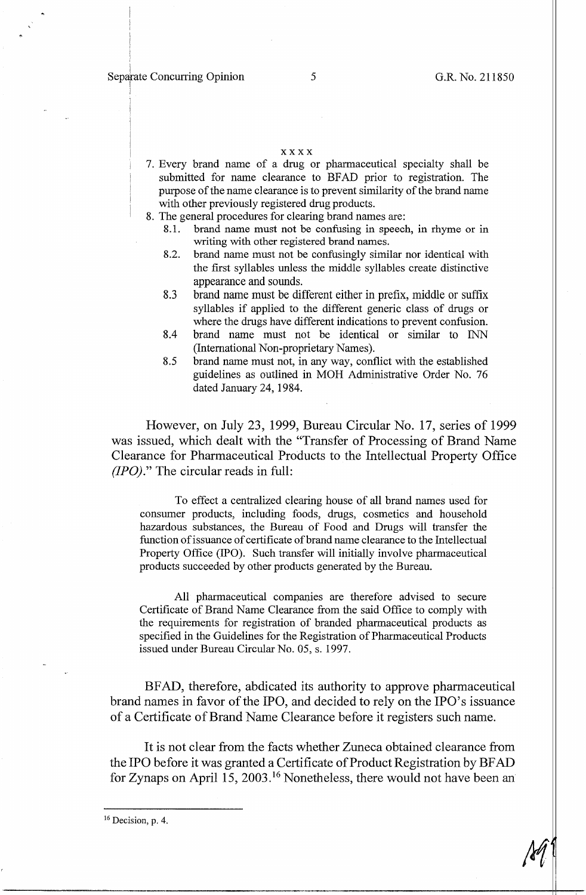#### **xxxx**

- 7. Every brand name of a drug or pharmaceutical specialty shall be submitted for name clearance to BFAD prior to registration. The purpose of the name clearance is to prevent similarity of the brand name with other previously registered drug products.
- 8. The general procedures for clearing brand names are:
	- 8.1. brand name must not be confusing in speech, in rhyme or in writing with other registered brand names.
	- 8.2. brand name must not be confusingly similar nor identical with the first syllables unless the middle syllables create distinctive appearance and sounds.
	- 8.3 brand name must be different either in prefix, middle or suffix syllables if applied to the different generic class of drugs or where the drugs have different indications to prevent confusion.
	- 8.4 brand name must not be identical or similar to INN (International Non-proprietary Names).
	- 8.5 brand name must not, in any way, conflict with the established guidelines as outlined in MOH Administrative Order No. 76 dated January 24, 1984.

However, on July 23, 1999, Bureau Circular No. 17, series of 1999 was issued, which dealt with the "Transfer of Processing of Brand Name Clearance for Pharmaceutical Products to the Intellectual Property Office *(IPO)."* The circular reads in full:

To effect a centralized clearing house of all brand names used for consumer products, including foods, drugs, cosmetics and household hazardous substances, the Bureau of Food and Drugs will transfer the function of issuance of certificate of brand name clearance to the Intellectual Property Office (IPO). Such transfer will initially involve pharmaceutical products succeeded by other products generated by the Bureau.

All pharmaceutical companies are therefore advised to secure Certificate of Brand Name Clearance from the said Office to comply with the requirements for registration of branded pharmaceutical products as specified in the Guidelines for the Registration of Pharmaceutical Products issued under Bureau Circular No. 05, s. 1997.

BF AD, therefore, abdicated its authority to approve pharmaceutical brand names in favor of the IPO, and decided to rely on the IPO's issuance of a Certificate of Brand Name Clearance before it registers such name.

It is not clear from the facts whether Zuneca obtained clearance from the IPO before it was granted a Certificate of Product Registration by BF AD for Zynaps on April 15, 2003. 16 Nonetheless, there would not have been an

16 Decision, p. 4.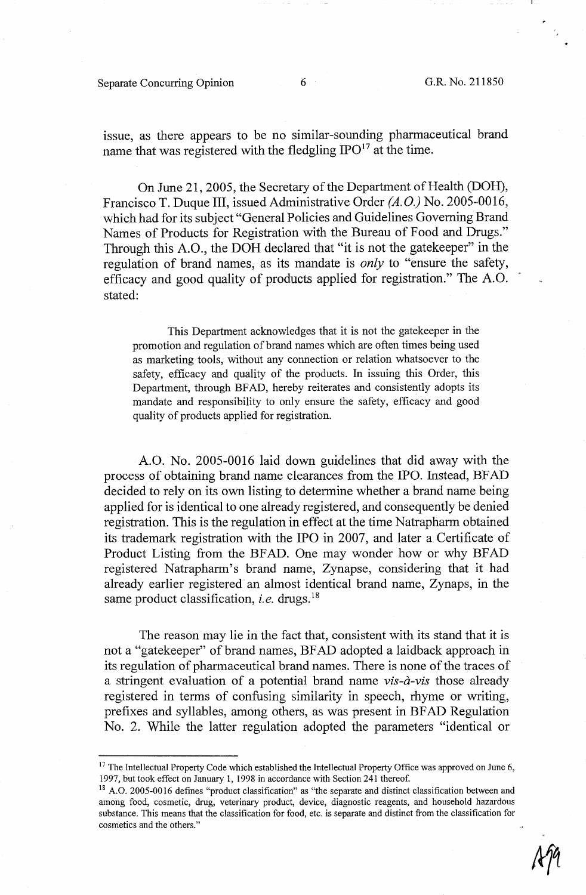### Separate Concurring Opinion 6 6 G.R. No. 211850

issue, as there appears to be no similar-sounding pharmaceutical brand name that was registered with the fledgling IPO<sup>17</sup> at the time.

On June 21, 2005, the Secretary of the Department of Health (DOH), Francisco T. Duque III, issued Administrative Order *(A.O.)* No. 2005-0016, which had for its subject "General Policies and Guidelines Governing Brand Names of Products for Registration with the Bureau of Food and Drugs." Through this A.O., the DOH declared that "it is not the gatekeeper" in the regulation of brand names, as its mandate is *only* to "ensure the safety, efficacy and good quality of products applied for registration." The A.O. stated:

This Department acknowledges that it is not the gatekeeper in the promotion and regulation of brand names which are often times being used as marketing tools, without any connection or relation whatsoever to the safety, efficacy and quality of the products. In issuing this Order, this Department, through BF AD, hereby reiterates and consistently adopts its mandate and responsibility to only ensure the safety, efficacy and good quality of products applied for registration.

A.O. No. 2005-0016 laid down guidelines that did away with the process of obtaining brand name clearances from the IPO. Instead, BF AD decided to rely on its own listing to determine whether a brand name being applied for is identical to one already registered, and consequently be denied registration. This is the regulation in effect at the time Natrapharm obtained its trademark registration with the IPO in 2007, and later a Certificate of Product Listing from the BFAD. One may wonder how or why BFAD registered Natrapharm's brand name, Zynapse, considering that it had already earlier registered an almost identical brand name, Zynaps, in the same product classification, *i.e.* drugs.<sup>18</sup>

The reason may lie in the fact that, consistent with its stand that it is not a "gatekeeper" of brand names, BF AD adopted a laidback approach in its regulation of pharmaceutical brand names. There is none of the traces of a stringent evaluation of a potential brand name *vis-a-vis* those already registered in terms of confusing similarity in speech, rhyme or writing, prefixes and syllables, among others, as was present in BF AD Regulation No. 2. While the latter regulation adopted the parameters "identical or

 $17$  The Intellectual Property Code which established the Intellectual Property Office was approved on June 6, 1997, but took effect on January 1, 1998 in accordance with Section 241 thereof.

<sup>&</sup>lt;sup>18</sup> A.O. 2005-0016 defines "product classification" as "the separate and distinct classification between and among food, cosmetic, drug, veterinary product, device, diagnostic reagents, and household hazardous substance. This means that the classification for food, etc. is separate and distinct from the classification for cosmetics and the others."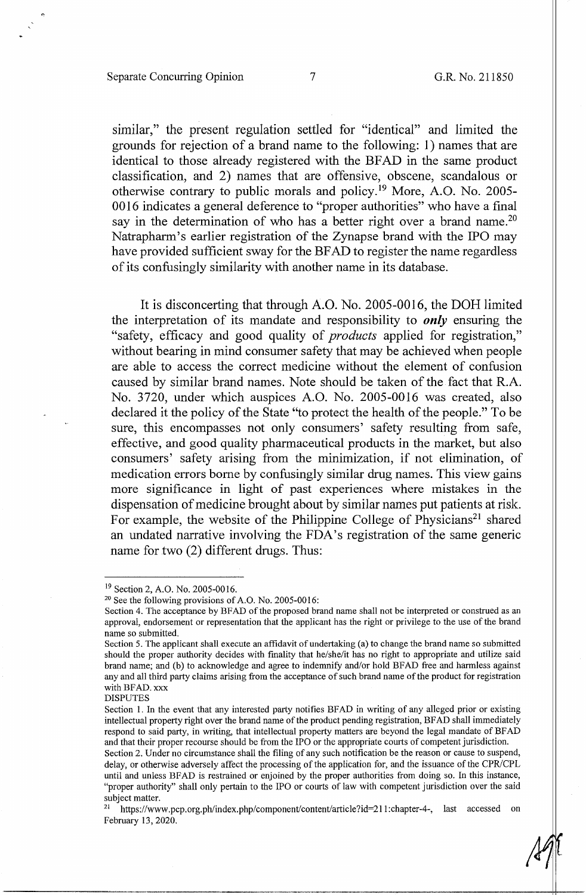# Separate Concurring Opinion 7 G.R. No. 211850

similar," the present regulation settled for "identical" and limited the grounds for rejection of a brand name to the following: 1) names that are identical to those already registered with the BFAD in the same product classification, and 2) names that are offensive, obscene, scandalous or otherwise contrary to public morals and policy. 19 More, A.O. No. 2005- 0016 indicates a general deference to "proper authorities" who have a final say in the determination of who has a better right over a brand name.<sup>20</sup> Natrapharm's earlier registration of the Zynapse brand with the IPO may have provided sufficient sway for the BF AD to register the name regardless of its confusingly similarity with another name in its database.

It is disconcerting that through A.O. No. 2005-0016, the DOH limited the interpretation of its mandate and responsibility to *only* ensuring the "safety, efficacy and good quality of *products* applied for registration," without bearing in mind consumer safety that may be achieved when people are able to access the correct medicine without the element of confusion caused by similar brand names. Note should be taken of the fact that R.A. No. 3720, under which auspices A.O. No. 2005-0016 was created, also declared it the policy of the State "to protect the health of the people." To be sure, this encompasses not only consumers' safety resulting from safe, effective, and good quality pharmaceutical products in the market, but also consumers' safety arising from the minimization, if not elimination, of medication errors borne by confusingly similar drug names. This view gains more significance in light of past experiences where mistakes in the dispensation of medicine brought about by similar names put patients at risk. For example, the website of the Philippine College of Physicians<sup>21</sup> shared an undated narrative involving the FDA's registration of the same generic name for two (2) different drugs. Thus:

<sup>&</sup>lt;sup>19</sup> Section 2, A.O. No. 2005-0016.<br><sup>20</sup> See the following provisions of A.O. No. 2005-0016:

Section 4. The acceptance by BFAD of the proposed brand name shall not be interpreted or construed as an approval, endorsement or representation that the applicant has the right or privilege to the use of the brand name so submitted.

Section 5. The applicant shall execute an affidavit of undertaking (a) to change the brand name so submitted should the proper authority decides with finality that he/she/it has no right to appropriate and utilize said brand name; and (b) to acknowledge and agree to indemnify and/or hold BFAD free and harmless against any and all third party claims arising from the acceptance of such brand name of the product for registration with BFAD. xxx

DISPUTES

Section 1. In the event that any interested party notifies BFAD in writing of any alleged prior or existing intellectual property right over the brand name of the product pending registration, BF AD shall immediately respond to said party, in writing, that intellectual property matters are beyond the legal mandate of BFAD and that their proper recourse should be from the IPO or the appropriate courts of competent jurisdiction. Section 2. Under no circumstance shall the filing of any such notification be the reason or cause to suspend,

delay, or otherwise adversely affect the processing of the application for, and the issuance of the CPR/CPL until and unless BFAD is restrained or enjoined by the proper authorities from doing so. In this instance, "proper authority" shall only pertain to the IPO or courts of law with competent jurisdiction over the said subject matter.<br><sup>21</sup> https://www.pcp.org.ph/index.php/component/content/article?id=211:chapter-4-, last accessed on

February 13, 2020.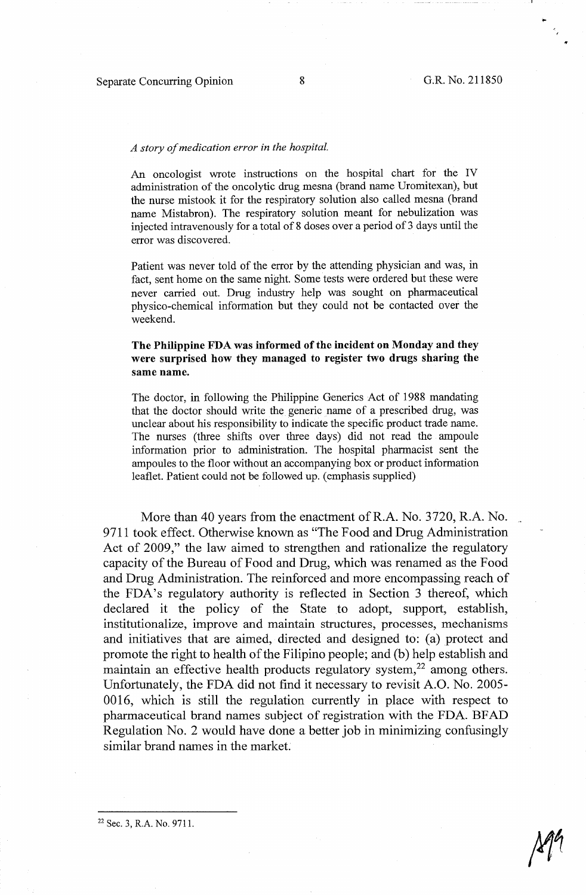,  $^{\prime}$  .

### *A story of medication error in the hospital.*

An oncologist wrote instructions on the hospital chart for the IV administration of the oncolytic drug mesna (brand name Uromitexan), but the nurse mistook it for the respiratory solution also called mesna (brand name Mistabron). The respiratory solution meant for nebulization was injected intravenously for a total of 8 doses over a period of 3 days until the error was discovered.

Patient was never told of the error by the attending physician and was, in fact, sent home on the same night. Some tests were ordered but these were never carried out. Drug industry help was sought on pharmaceutical physico-chemical information but they could not be contacted over the weekend.

# **The Philippine FDA was informed of the incident on Monday and they were surprised how they managed to register two drugs sharing the same name.**

The doctor, in following the Philippine Generics Act of 1988 mandating that the doctor should write the generic name of a prescribed drug, was unclear about his responsibility to indicate the specific product trade name. The nurses (three shifts over three days) did not read the ampoule information prior to administration. The hospital pharmacist sent the ampoules to the floor without an accompanying box or product information leaflet. Patient could not be followed up. ( emphasis supplied)

More than 40 years from the enactment of R.A. No. 3720, R.A. No. 9711 took effect. Otherwise known as "The Food and Drug Administration Act of 2009," the law aimed to strengthen and rationalize the regulatory capacity of the Bureau of Food and Drug, which was renamed as the Food and Drug Administration. The reinforced and more encompassing reach of the FDA's regulatory authority is reflected in Section 3 thereof, which declared it the policy of the State to adopt, support, establish, institutionalize, improve and maintain structures, processes, mechanisms and initiatives that are aimed, directed and designed to: (a) protect and promote the right to health of the Filipino people; and (b) help establish and maintain an effective health products regulatory system, $22$  among others. Unfortunately, the FDA did not find it necessary to revisit A.O. No. 2005- 0016, which is still the regulation currently in place with respect to pharmaceutical brand names subject of registration with the FDA. BF AD Regulation No. 2 would have done a better job in minimizing confusingly similar brand names in the market.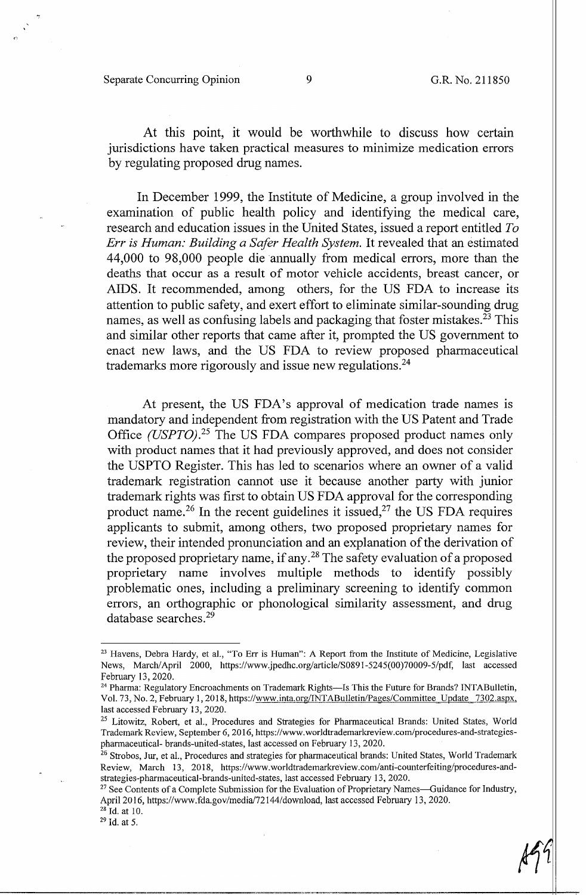At this point, it would be worthwhile to discuss how certain jurisdictions have taken practical measures to minimize medication errors by regulating proposed drug names.

In December 1999, the Institute of Medicine, a group involved in the examination of public health policy and identifying the medical care, research and education issues in the United States, issued a report entitled *To Err is Human: Building a Safer Health System.* It revealed that an estimated 44,000 to 98,000 people die annually from medical errors, more than the deaths that occur as a result of motor vehicle accidents, breast cancer, or AIDS. It recommended, among others, for the US FDA to increase its attention to public safety, and exert effort to eliminate similar-sounding drug names, as well as confusing labels and packaging that foster mistakes.<sup> $23$ </sup> This and similar other reports that came after it, prompted the US government to enact new laws, and the US FDA to review proposed pharmaceutical trademarks more rigorously and issue new regulations.<sup>24</sup>

At present, the US FDA's approval of medication trade names is mandatory and independent from registration with the US Patent and Trade Office (USPTO).<sup>25</sup> The US FDA compares proposed product names only with product names that it had previously approved, and does not consider the USPTO Register. This has led to scenarios where an owner of a valid trademark registration cannot use it because another party with junior trademark rights was first to obtain US FDA approval for the corresponding product name.<sup>26</sup> In the recent guidelines it issued,<sup>27</sup> the US FDA requires applicants to submit, among others, two proposed proprietary names for review, their intended pronunciation and an explanation of the derivation of the proposed proprietary name, if any. 28 The safety evaluation of a proposed proprietary name involves multiple methods to identify possibly problematic ones, including a preliminary screening to identify common errors, an orthographic or phonological similarity assessment, and drug database searches.<sup>29</sup>

<sup>&</sup>lt;sup>23</sup> Havens, Debra Hardy, et al., "To Err is Human": A Report from the Institute of Medicine, Legislative News, March/April 2000, https://www.jpedhc.org/article/S0891-5245(00)70009-5/pdf, last accessed February 13, 2020.<br><sup>24</sup> Pharma: Regulatory Encroachments on Trademark Rights-Is This the Future for Brands? INTABulletin,

Vol. 73, No. 2, February 1, 2018, https://www.inta.org/INT ABulletin/Pages/Committee Update 7302.aspx, last accessed February 13, 2020.

<sup>&</sup>lt;sup>25</sup> Litowitz, Robert, et al., Procedures and Strategies for Pharmaceutical Brands: United States, World Trademark Review, September 6, 2016, https://www.worldtrademarkreview.com/procedures-and-strategiespharmaceutical- brands-united-states, last accessed on February 13, 2020.<br><sup>26</sup> Strobos, Jur, et al., Procedures and strategies for pharmaceutical brands: United States, World Trademark

Review, March 13, 2018, https://www.worldtrademarkreview.com/anti-counterfeiting/procedures-andstrategies-pharmaceutical-brands-united-states, last accessed February 13, 2020.<br><sup>27</sup> See Contents of a Complete Submission for the Evaluation of Proprietary Names—Guidance for Industry,

April 2016, https://www.fda.gov/media/72144/download, last accessed February 13, 2020.<br><sup>28</sup> Id. at 10.<br><sup>29</sup> Id. at 5.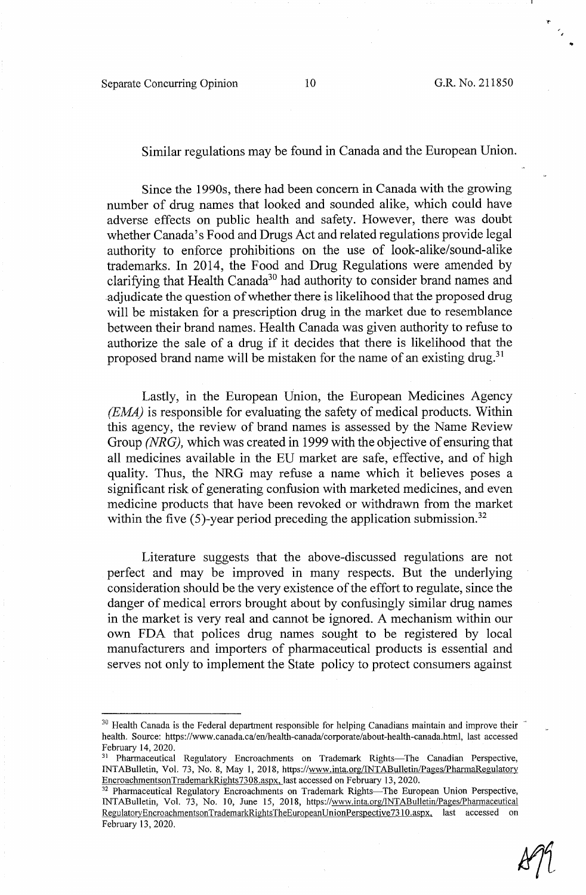# Similar regulations may be found in Canada and the European Union.

Since the 1990s, there had been concern in Canada with the growing number of drug names that looked and sounded alike, which could have adverse effects on public health and safety. However, there was doubt whether Canada's Food and Drugs Act and related regulations provide legal authority to enforce prohibitions on the use of look-alike/sound-alike trademarks. In 2014, the Food and Drug Regulations were amended by clarifying that Health Canada<sup>30</sup> had authority to consider brand names and .adjudicate the question of whether there is likelihood that the proposed drug will be mistaken for a prescription drug in the market due to resemblance between their brand names. Health Canada was given authority to refuse to authorize the sale of a drug if it decides that there is likelihood that the proposed brand name will be mistaken for the name of an existing drug.<sup>31</sup>

Lastly, in the European Union, the European Medicines Agency *(EMA)* is responsible for evaluating the safety of medical products. Within this agency, the review of brand names is assessed by the Name Review Group *(NRG),* which was created in 1999 with the objective of ensuring that all medicines available in the EU market are safe, effective, and of high quality. Thus, the NRG may refuse a name which it believes poses a significant risk of generating confusion with marketed medicines, and even medicine products that have been revoked or withdrawn from the market within the five  $(5)$ -year period preceding the application submission.<sup>32</sup>

Literature suggests that the above-discussed regulations are not perfect and may be improved in many respects. But the underlying consideration should be the very existence of the effort to regulate, since the danger of medical errors brought about by confusingly similar drug names in the market is very real and cannot be ignored. A mechanism within our own FDA that polices drug names sought to be registered by local manufacturers and importers of pharmaceutical products is essential and serves not only to implement the State policy to protect consumers against

<sup>&</sup>lt;sup>30</sup> Health Canada is the Federal department responsible for helping Canadians maintain and improve their health. Source: https://www.canada.ca/en/health-canada/corporate/about-health-canada.html, last accessed February 14, 2020.<br><sup>31</sup> Pharmaceutical Regulatory Encroachments on Trademark Rights-The Canadian Perspective,

INTABulletin, Vol. 73, No. 8, May 1, 2018, https://www.inta.org/INTABulletin/Pages/PhannaRegulatory EncroachmentsonTrademarkRights7308.aspx, last accessed on February 13, 2020.<br><sup>32</sup> Pharmaceutical Regulatory Encroachments on Trademark Rights-The European Union Perspective,

INTABulletin, Vol. 73, No. 10, June 15, 2018, https://www.inta.org/lNTABulletin/Pages/Pharmaceutical RegulatoryEncroachmentsonTrademarkRightsTheEuropeanUnionPerspective7310.aspx, last accessed on February 13, 2020.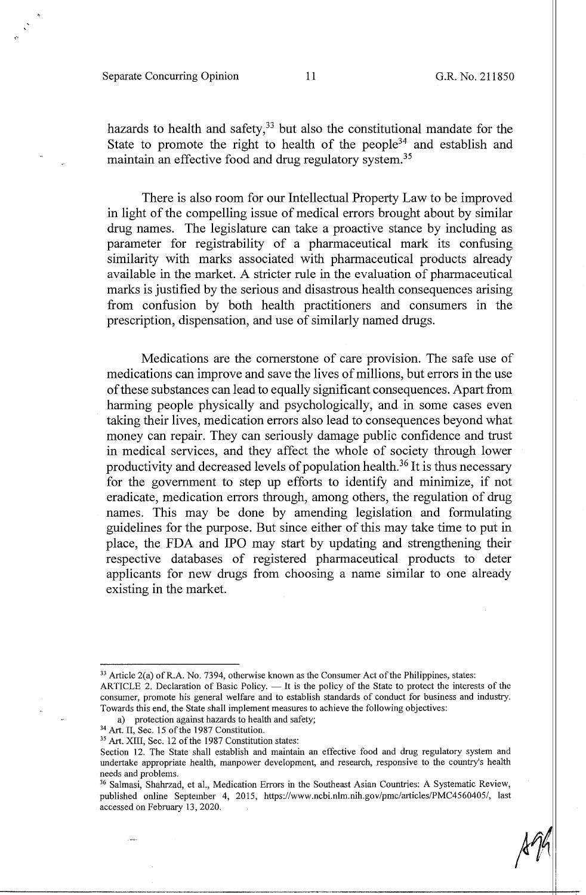hazards to health and safety, $33$  but also the constitutional mandate for the State to promote the right to health of the people<sup>34</sup> and establish and maintain an effective food and drug regulatory system. 35

There is also room for our Intellectual Property Law to be improved in light of the compelling issue of medical errors brought about by similar drug names. The legislature can take a proactive stance by including as parameter for registrability of a pharmaceutical mark its confusing similarity with marks associated with pharmaceutical products already available in the market. A stricter rule in the evaluation of pharmaceutical marks is justified by the serious and disastrous health consequences arising from confusion by both health practitioners and consumers in the prescription, dispensation, and use of similarly named drugs.

Medications are the cornerstone of care provision. The safe use of medications can improve and save the lives of millions, but errors in the use of these substances can lead to equally significant consequences. Apart from harming people physically and psychologically, and in some cases even taking their lives, medication errors also lead to consequences beyond what money can repair. They can seriously damage public confidence and trust in medical services, and they affect the whole of society through lower productivity and decreased levels of population health. 36 It is thus necessary for the government to step up efforts to identify and minimize, if not eradicate, medication errors through, among others, the regulation of drug names. This may be done by amending legislation and formulating guidelines for the purpose. But since either of this may take time to put in place, the FDA and IPO may start by updating and strengthening their respective databases of registered pharmaceutical products to deter applicants for new drugs from choosing a name similar to one already existing in the market.

a) protection against hazards to health and safety;<br><sup>34</sup> Art. II, Sec. 15 of the 1987 Constitution.<br><sup>35</sup> Art. XIII, Sec. 12 of the 1987 Constitution states:

 $33$  Article 2(a) of R.A. No. 7394, otherwise known as the Consumer Act of the Philippines, states: ARTICLE 2. Declaration of Basic Policy. - It is the policy of the State to protect the interests of the consumer, promote his general welfare and to establish standards of conduct for business and industry. Towards this end, the State shall implement measures to achieve the following objectives:

Section 12. The State shall establish and maintain an effective food and drug regulatory system and undertake appropriate health, manpower development, and research, responsive to the country's health needs and problems.

<sup>&</sup>lt;sup>36</sup> Salmasi, Shahrzad, et al., Medication Errors in the Southeast Asian Countries: A Systematic Review, published online September 4, 2015, https://www.ncbi.nlm.nih.gov/pmc/articles/PMC4560405/, last accessed on February 13, 2020.